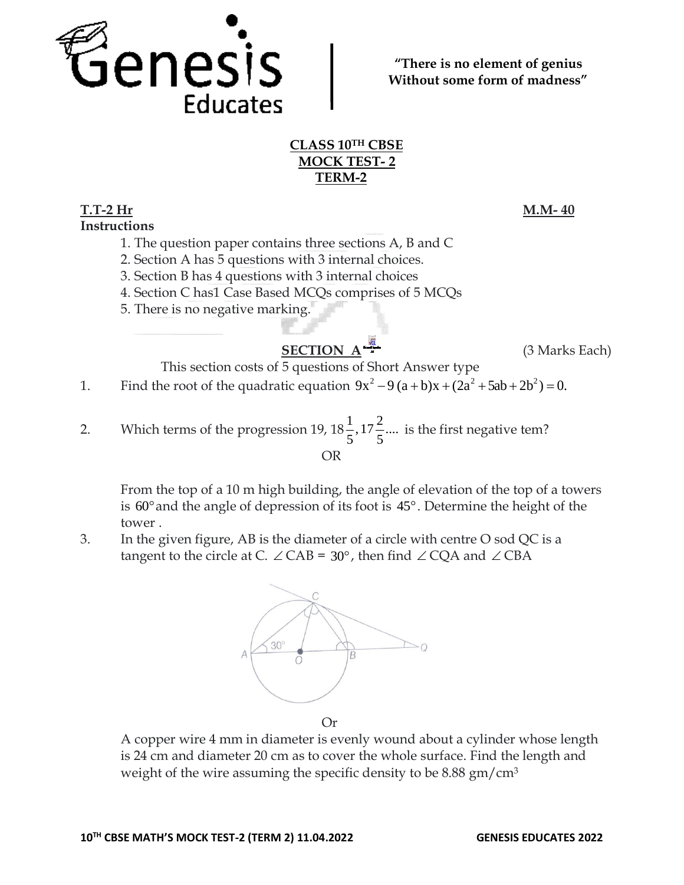

**"There is no element of genius Without some form of madness"**

# **CLASS 10TH CBSE MOCK TEST- 2 TERM-2**

### **T.T-2 Hr M.M- 40 Instructions**

- 1. The question paper contains three sections A, B and C
- 2. Section A has 5 questions with 3 internal choices.
- 3. Section B has 4 questions with 3 internal choices
- 4. Section C has1 Case Based MCQs comprises of 5 MCQs
- 5. There is no negative marking.

# **SECTION**  $A = \frac{\sqrt{\pi}}{4}$  (3 Marks Each)

This section costs of 5 questions of Short Answer type

1. Find the root of the quadratic equation  $9x^2 - 9(a+b)x + (2a^2 + 5ab + 2b^2) = 0$ .

2. Which terms of the progression 19,  $18\frac{1}{5}$ ,  $17\frac{2}{5}$ ....  $\frac{1}{5}$ , 17 $\frac{2}{5}$  $\frac{1}{5}$ , 17 $\frac{2}{5}$ .... is the first negative tem? OR

From the top of a 10 m high building, the angle of elevation of the top of a towers is 60 and the angle of depression of its foot is 45 . Determine the height of the tower .

3. In the given figure, AB is the diameter of a circle with centre O sod QC is a tangent to the circle at C.  $\angle$  CAB = 30°, then find  $\angle$  CQA and  $\angle$  CBA



Or

A copper wire 4 mm in diameter is evenly wound about a cylinder whose length is 24 cm and diameter 20 cm as to cover the whole surface. Find the length and weight of the wire assuming the specific density to be 8.88 gm/cm<sup>3</sup>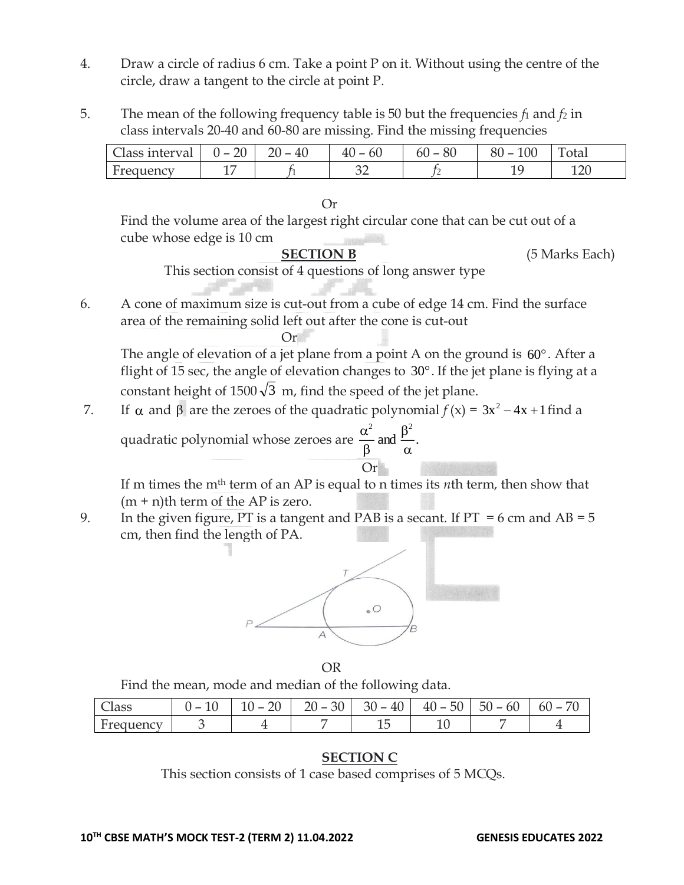- 4. Draw a circle of radius 6 cm. Take a point P on it. Without using the centre of the circle, draw a tangent to the circle at point P.
- 5. The mean of the following frequency table is 50 but the frequencies *f*<sup>1</sup> and *f<sup>2</sup>* in class intervals 20-40 and 60-80 are missing. Find the missing frequencies

| Llass interval | nn<br>$\overline{\phantom{0}}$<br><u>/ UI</u> | 40 | υu  | OU<br>-<br>ou | 100<br>ОU<br>$\overline{\phantom{a}}$ | . .<br>otal |
|----------------|-----------------------------------------------|----|-----|---------------|---------------------------------------|-------------|
|                | $\overline{ }$<br>--                          |    | n r | -             | <b>__</b>                             | ∩∩ 1<br>∸∸∽ |

#### Or

Find the volume area of the largest right circular cone that can be cut out of a cube whose edge is 10 cm

**SECTION B** (5 Marks Each)

This section consist of 4 questions of long answer type

6. A cone of maximum size is cut-out from a cube of edge 14 cm. Find the surface area of the remaining solid left out after the cone is cut-out

 $Or$ 

The angle of elevation of a jet plane from a point A on the ground is  $60^{\circ}$ . After a flight of 15 sec, the angle of elevation changes to  $30^{\circ}$ . If the jet plane is flying at a constant height of 1500 $\sqrt{3}$  m, find the speed of the jet plane.

 $7.$  $\alpha$  and  $\beta$  are the zeroes of the quadratic polynomial  $f(x) = 3x^2 - 4x + 1$  find a quadratic polynomial whose zeroes are  $\frac{\infty}{2}$  and  $\frac{\infty}{2}$ . 2 2 α β β α

If m times the mth term of an AP is equal to n times its *n*th term, then show that  $(m + n)$ th term of the AP is zero.

Or

9. In the given figure, PT is a tangent and PAB is a secant. If  $PT = 6$  cm and  $AB = 5$ cm, then find the length of PA.



OR

Find the mean, mode and median of the following data.

| acc                               | $\sim$<br>- | $\overline{\phantom{a}}$<br>⊷ | 30<br>$\overline{\phantom{0}}$ | $40^{\circ}$<br>30<br>$\overline{\phantom{a}}$<br>⊥∪ | 50<br>$\overline{\phantom{a}}$<br>40<br>$\overline{\phantom{0}}$ | ו ור<br>$n_{\rm h}$<br>◡<br>ັ | ᡋ<br>$n_{\rm I}$ |
|-----------------------------------|-------------|-------------------------------|--------------------------------|------------------------------------------------------|------------------------------------------------------------------|-------------------------------|------------------|
| ᠇<br>. P€<br>$\mathbf{H}$<br>ucin |             |                               |                                | ∸                                                    | ∸                                                                |                               |                  |

## **SECTION C**

This section consists of 1 case based comprises of 5 MCQs.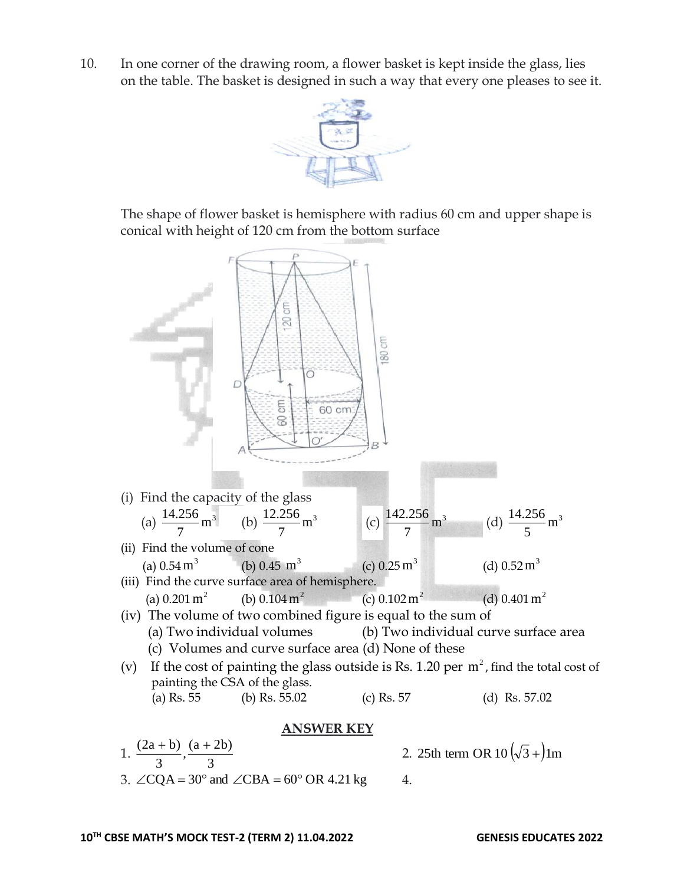10. In one corner of the drawing room, a flower basket is kept inside the glass, lies on the table. The basket is designed in such a way that every one pleases to see it.



The shape of flower basket is hemisphere with radius 60 cm and upper shape is conical with height of 120 cm from the bottom surface